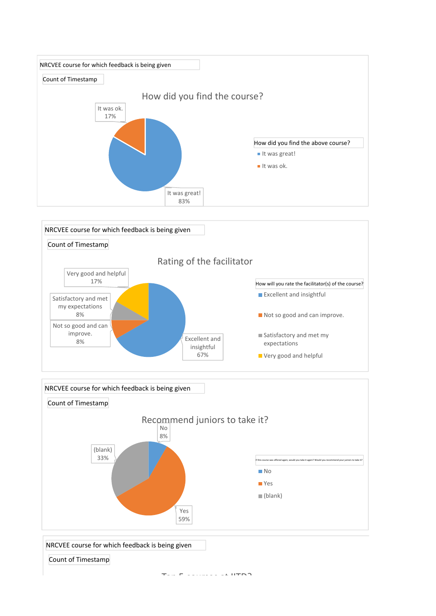





NRCVEE course for which feedback is being given

Count of Timestamp

 $T = 5$  courses at  $IITDD$